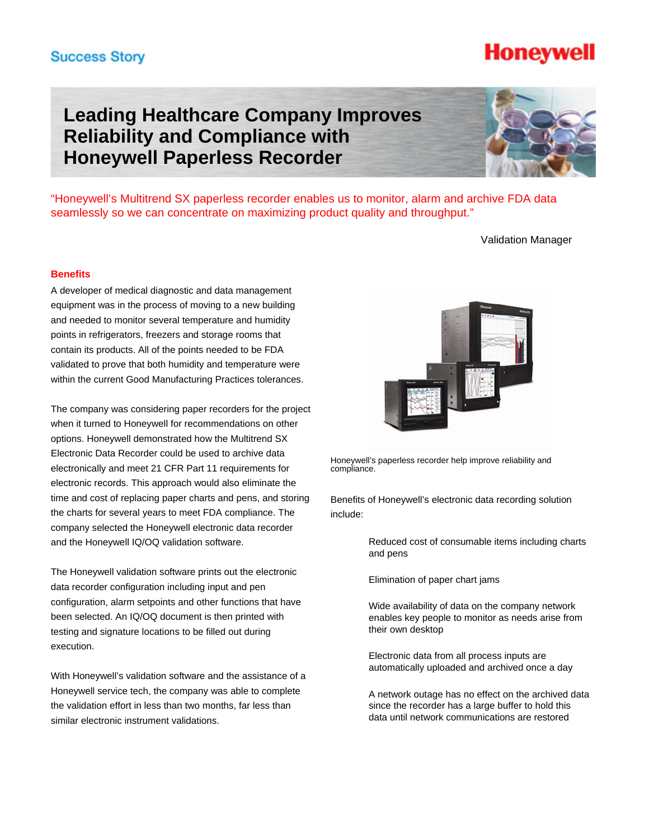## **Success Story**

## **Leading Healthcare Company Improves Reliability and Compliance with Honeywell Paperless Recorder**

"Honeywell's Multitrend SX paperless recorder enables us to monitor, alarm and archive FDA data seamlessly so we can concentrate on maximizing product quality and throughput."

### Validation Manager

### **Benefits**

A developer of medical diagnostic and data management equipment was in the process of moving to a new building and needed to monitor several temperature and humidity points in refrigerators, freezers and storage rooms that contain its products. All of the points needed to be FDA validated to prove that both humidity and temperature were within the current Good Manufacturing Practices tolerances.

The company was considering paper recorders for the project when it turned to Honeywell for recommendations on other options. Honeywell demonstrated how the Multitrend SX Electronic Data Recorder could be used to archive data electronically and meet 21 CFR Part 11 requirements for electronic records. This approach would also eliminate the time and cost of replacing paper charts and pens, and storing the charts for several years to meet FDA compliance. The company selected the Honeywell electronic data recorder and the Honeywell IQ/OQ validation software.

The Honeywell validation software prints out the electronic data recorder configuration including input and pen configuration, alarm setpoints and other functions that have been selected. An IQ/OQ document is then printed with testing and signature locations to be filled out during execution.

With Honeywell's validation software and the assistance of a Honeywell service tech, the company was able to complete the validation effort in less than two months, far less than similar electronic instrument validations.

Honeywell's paperless recorder help improve reliability and compliance.

Benefits of Honeywell's electronic data recording solution include:

> Reduced cost of consumable items including charts and pens

Elimination of paper chart jams

 Wide availability of data on the company network enables key people to monitor as needs arise from their own desktop

 Electronic data from all process inputs are automatically uploaded and archived once a day

 A network outage has no effect on the archived data since the recorder has a large buffer to hold this data until network communications are restored





# **Honeywell**